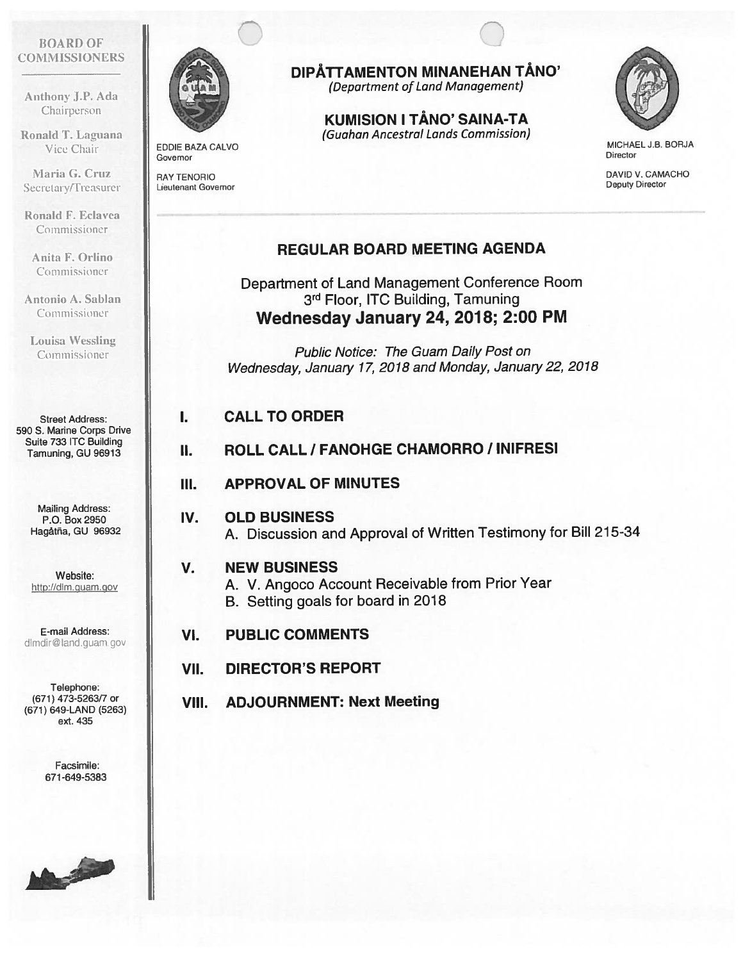#### **BOARD OF COMMISSIONERS**

Anthony J.P. Ada Chairperson

Ronald T. Laguana Vice Chair

Maria G. Crux Secretary/Treasurer

Ronald F. Edavea Commissioner

Anita F. Orlino Commissioner

Antonio A. Sablan Commissioner

Louisa VessIing Commissioner

Street Address: 590 S. Marine Corps Drive Suite 733 ITC Building Tamuning, GU 96913

> Mailing Address: P.O. Box 2950 Hagåtña, GU 96932

> Website: http://dlm.guam.gov

E-mail Address: dlmdir@land.guam.gov

Telephone: (677) 473-5263/7 or (671) 649-LAND (5263) ext. 435

> Facsimile: 671 -649-5383





EDDIE BAZA CALVO Governor

RAY TENORIO Lieutenant Governor

#### DIPÅTTAMENTON MINANEHAN TÅNO'

C

(Department of Land Management)

KUMISION I TÅNO' SAINA-TA (Guahan Ancestral Lands Commission)



MICHAEL J.B. BORJA **Director** 

DAVID V. CAMACHO Deputy Director

#### REGULAR BOARD MEETING AGENDA

Department of Land Management Conference Room 3<sup>rd</sup> Floor, ITC Building, Tamuning Wednesday January 24, 2018; 2:00 PM

Public Notice: The Guam Daily Post on Wednesday, January 77, 2078 and Monday, January 22, 2078

#### I. CALLTO ORDER

- II. ROLL CALL / FANOHGE CHAMORRO / INIFRESI
- III. APPROVAL OF MINUTES
- IV. OLD BUSINESS
	- A. Discussion and Approval of Written Testimony for Bill 215-34

#### V. NEW BUSINESS

- A. V. Angoco Account Receivable from Prior Year
- B. Setting goals for board in 2018
- VI. PUBLIC COMMENTS
- VII. DIRECTOR'S REPORT
- VIII. ADJOURNMENT: Next Meeting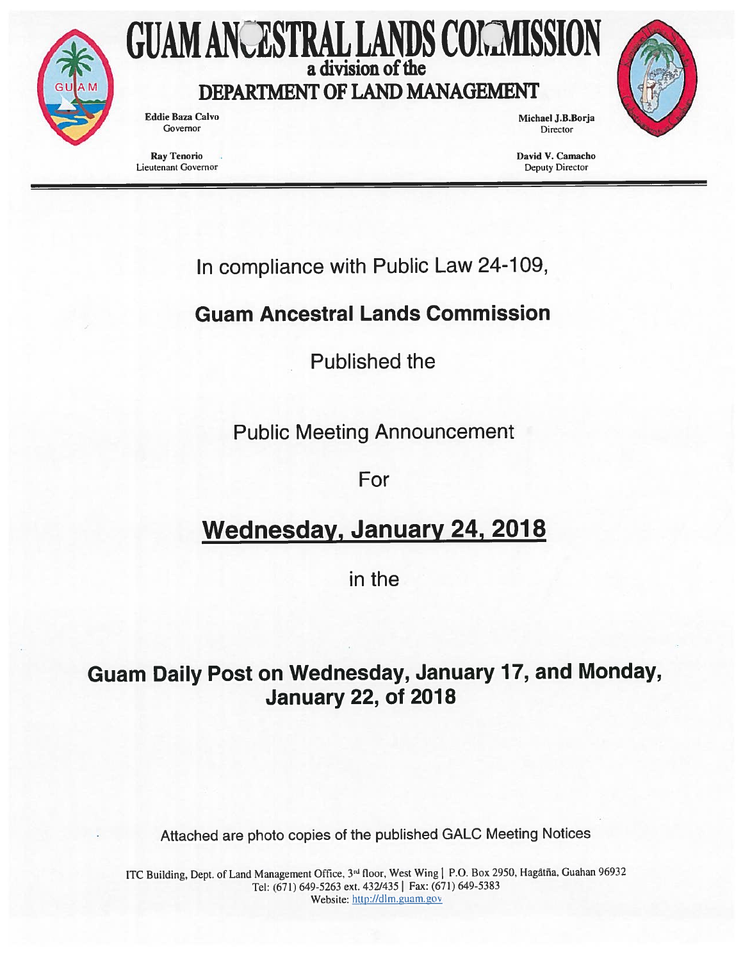

# GUAM ANCESTRAL LANDS COLMISSION a division of the

# DEPARTMENT OF LAND MANAGEMENT



Eddie Baza Calvo Governor

Ray Tenorio Lieutenant Governor Michael J.B.Borja Director

David V. Camacho Deputy Director

In compliance with Public Law 24-109,

### Guam Ancestral Lands Commission

Published the

Public Meeting Announcement

For

# Wednesday. January 24, 2018

in the

## Guam Daily Post on Wednesday, January 17, and Monday, January 22, of 2018

Attached are <sup>p</sup>hoto copies of the published GALC Meeting Notices

ITC Building, Dept. of Land Management Office, 3<sup>rd</sup> floor, West Wing | P.O. Box 2950, Hagåtña, Guahan 96932 Tel: (671) 649-5263 ext. 432/435 | Fax: (671) 649-5383 Website: http://dlm.guam.gov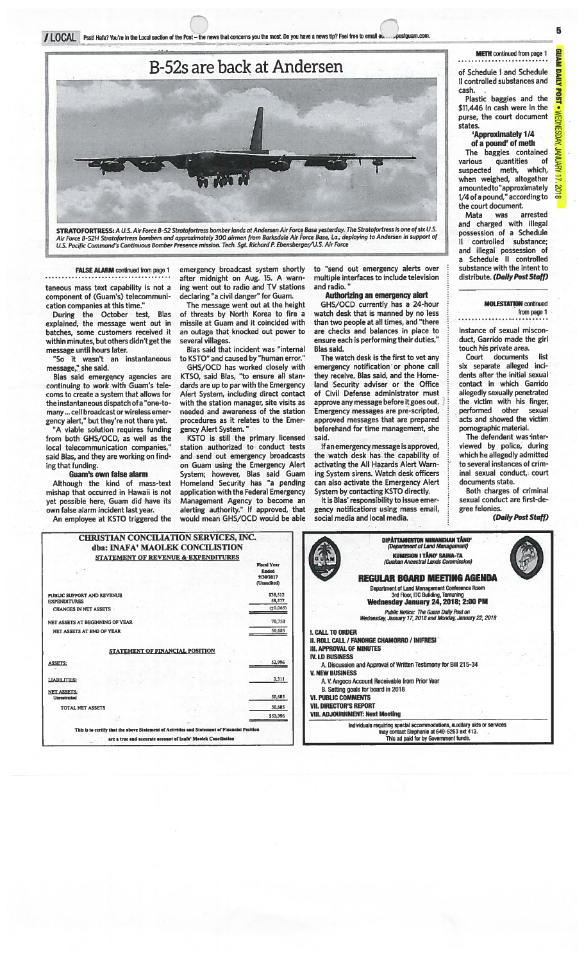I LOCAL Psst! Hafa? You're in the Local section of the Post -- the news that concerns you the most. Do you have a news tip? Feel free to en

# 3-52s are back at Andersen **TANTA** C

Z2/V \_ **STRATOFORTRESS:** A U.S. Air Force B-52 Stratofortress bomber lands at Andersen Air Force Base yesterday. The Stratoforfress is one of six U.S.<br>Air Force B-52H Stratofortress bombers and approximately 300 airmen from Barks

#### FALSE ALARM continued from page 1

taneous mass text capability is not a component of (Guam's) telecommuni cation companies at this time."

**Holland** 

During the October test, Bias explained, the message went out in batches, some customers received it within minutes, but others didn't get the message until hours later.

"So it wasn't an instantaneous message,' she said.

Bias said emergency agencies are continuing to work with Guam's tele corns to create a system that allows for the instantaneous dispatch of a "one-to many... cell broadcast or wireless emergency alert," but they're not there yet.

"A viable solution requires funding from both GHS/OCD, as well as the local telecommunication companies, said Bias, and they are working on find ing that funding.

Guam's own false alarm

Although the kind of mass-text mishap that occurred in Hawaii is not yet possible here, Guam did have its own false alarm incident last year. An employee at K5TO triggered the

emergency broadcast system shortly after midnight on Aug. 15. <sup>A</sup> warn ing went out to radio and TV stations declaring "a civil danger" for Guam.

The message went out at the height of threats by North Korea to fire a missile at Guam and it coincided with an outage that knocked out power to several villages.

BIas said that incident was "internal to KSTO" and caused by "human error."

GHS/OCD has worked closely with KTSO, said Bias, "to ensure all stan dards are up to par with the Emergency Alert System, including direct contact with the station manager, site visits as needed and awareness of the station procedures as it relates to the Emer gency Alert System."

KSTO is still the primary licensed station authorized to conduct tests and send out emergency broadcasts on Guam using the Emergency Alert System; however, Bias said Guam Homeland Security has "a pending application with the Federal Emergency Management Agency to become an alerting authority." If approved, that would mean GHS/OCD would be able to "send out emergency alerts over multiple interfaces to include television and radio.

#### Authorizing an emergency alert

GHS/OCD currently has a 24-hour watch desk that is manned by no less than two people at all times, and "there are checks and balances in place to ensure each is performing their duties," Bias said.

The watch desk is the first to vet any emergency notification'or phone call they receive, Bias said, and the Home land Security adviser or the Office of Civil Defense administrator must approve any message before it goes out. Emergency messages are pre-scripted, approved messages that are prepared beforehand for time management, she said.

If an emergency message is approved, the watch desk has the capability of activating the All Hazards Alert Warn ing System sirens. Watch desk officers can also activate the Emergency Alert System by contacting KSTO directly.

It is Bias' responsibility to issue emer gency notifications using mass email, social media and local media.

#### **METH** continued from page 1

âf Schedule <sup>I</sup> and Schedule II controlled substances and

Plastic baggies and the \$11,446 in cash were in the purse, the court document .<br>states.

cash.

#### 'Approximately 1/4 of a pound' of meth

The baggies contained various quantities of suspected meth, which, when weighed, altogether amountedto"approximately 1/4 of a pound," accordingto the court document.<br>Mata was arrested

Mata was and charged with illegal possession of a Schedule II controlled substance; and illegal possession of a Schedule II controlled substance with the intent to distribute. (Daily Post Staff)

#### MOLESTATION continued from page <sup>1</sup>

instance of sexual miscon duct, Garrido made the girl touch his private area.

Court documents list six separate alleged inci dents after the initial sexual contact in which Garrido allegedly sexually penetrated the victim with his finger, performed other sexual acts and showed the victim pornographic material.

The defendant was'inter viewed by police, during which he allegedly admitted to several instances of crim inal sexual conduct,. court documents state.

Both charges of criminal sexual conduct are first-de gree felonies.

(Daily Post Staff)

| CHRISTIAN CONCILIATION SERVICES, INC.<br>dba: INAFA' MAOLEK CONCILISTION                      | DIPATTAMENTON NINANEHAN TANO'<br>(Department of Land Management) |                                                                                                                        |  |  |
|-----------------------------------------------------------------------------------------------|------------------------------------------------------------------|------------------------------------------------------------------------------------------------------------------------|--|--|
| STATEMENT OF REVENUE & EXPENDITURES                                                           |                                                                  | <b>KUMISION I TÂNO' SAINA-TA</b><br>(Guahan Ancestral Lands Commission)                                                |  |  |
|                                                                                               | <b>Fiscal Year</b>                                               |                                                                                                                        |  |  |
|                                                                                               | <b>Ended</b><br>9/30/2017<br>(Unaudited)                         | <b>REGULAR BOARD MEETING AGENDA</b>                                                                                    |  |  |
|                                                                                               |                                                                  | Department of Land Management Conference Room                                                                          |  |  |
| PUBLIC SUPPORT AND REVENUE<br><b>EXPENDITURES</b>                                             | \$38.512<br>58,577                                               | 3rd Floor, ITC Building, Tamuning<br>Wednesday January 24, 2018; 2:00 PM                                               |  |  |
| <b>CHANGES IN NET ASSETS</b>                                                                  | (20,065)                                                         | Public Notice: The Guam Daily Post on<br>Wednesday, January 17, 2018 and Monday, January 22, 2018                      |  |  |
| NET ASSETS AT BEGINNING OF YEAR                                                               | 70,750                                                           |                                                                                                                        |  |  |
| NET ASSETS AT END OF YEAR                                                                     | 50,685                                                           | <b>I. CALL TO ORDER</b>                                                                                                |  |  |
|                                                                                               |                                                                  | <b>II. ROLL CALL / FANOHGE CHAMORRO / INIFRESI</b>                                                                     |  |  |
|                                                                                               |                                                                  | <b>III. APPROVAL OF MINUTES</b>                                                                                        |  |  |
| STATEMENT OF FINANCIAL POSITION                                                               |                                                                  | <b>IV. LD BUSINESS</b>                                                                                                 |  |  |
| <b>ASSETS:</b>                                                                                | 52,996                                                           | A. Discussion and Approval of Written Testimony for Bill 215-34                                                        |  |  |
|                                                                                               |                                                                  | <b>V. NEW BUSINESS</b>                                                                                                 |  |  |
| <b>LIABILITIES:</b>                                                                           | 2,311                                                            | A. V. Angoco Account Receivable from Prior Year                                                                        |  |  |
|                                                                                               |                                                                  | B. Setting goals for board in 2018                                                                                     |  |  |
| <b>NET ASSETS:</b><br>Unrestricted                                                            | 50,685                                                           | <b>VI. PUBLIC COMMENTS</b>                                                                                             |  |  |
|                                                                                               | 50,685                                                           | <b>VII. DIRECTOR'S REPORT</b>                                                                                          |  |  |
| TOTAL NET ASSETS                                                                              |                                                                  | <b>VIII. ADJOURNMENT: Next Meeting</b>                                                                                 |  |  |
|                                                                                               | \$52,996                                                         |                                                                                                                        |  |  |
| This is to certify that the above Statement of Activities and Statement of Financial Position |                                                                  | Individuals requiring special accommodations, auxiliary aids or services<br>may contact Stephanie at 649-5263 ext 413. |  |  |
| are a true and accurate account of Innfa' Maolek Conciliation                                 |                                                                  | This ad paid for by Government funds.                                                                                  |  |  |

**GUAM ATIVO 1** 

POST . WEDNESDAY

**ABAUMAL** 

8102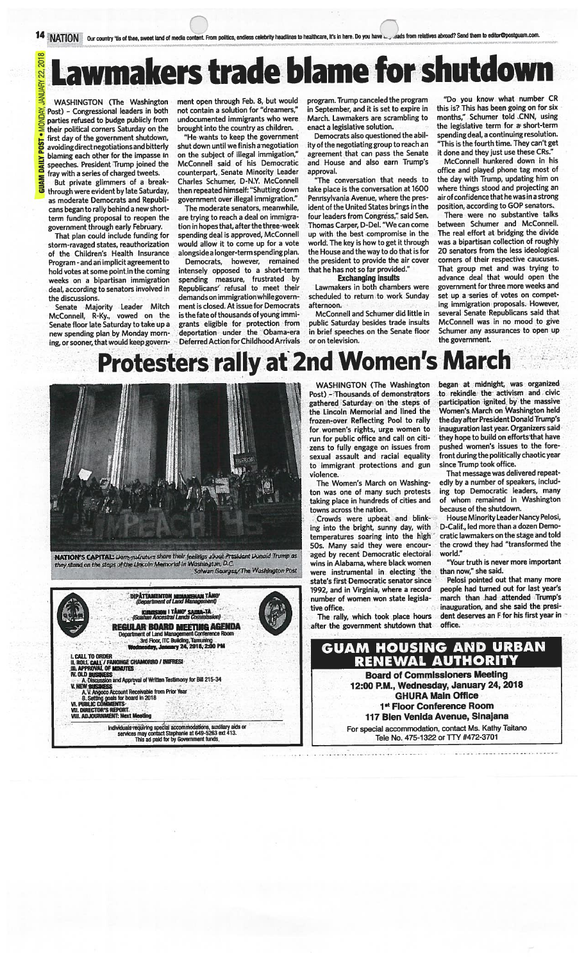# kers trade blame for shutdo

Post) – Congressional leaders in both not contain a solution for "dreamers," in September, and it is set to expire in this is? This has been going on for six<br>parties refused to budge publicly from undocumented immigrants w their political corners Saturday on the brought into the country as children, enact a legislative solution, the legislative term for a short-term for a short-term for a short-term for a short-term for a short-term for a sh Post) - Congressional leaders in both not contain a solution for "dreamers," in September, and it is set to expire in this is? I fils mas been going on for six<br>parties refused to budge publicly from undocumented immigrant

 $\overline{201}$ 22, **ANUARY** 

McConnell, R-Ky., vowed on the is the fate of thousands of young immi-<br>Senate floor late Saturday to take up a grants eligible for protection from public Saturday besides trade insults McConnell was in no mood to give

avoiding direct negotiations and bitterly shut down until we finish a negotiation ity of the negotiating group to reach an "This is the fourth time. They can't g<br>blaming each other for the impasse in on the subject of ille blaming each other for the impasse in on the subject of illegal immigation," agreement that can pass the Senate it done and they just use these CRS.<br>Sepeeches, President Trump joined the McConnell said of his Democratic an speeches. President Trump joined the McConnell said of his Democratic and House and also earn Trump's McConnell hunkered down in his fray with a series of charged tweets. counterpart, Senate Minority Leader approval. ay with a series of charged tweets. counterpart, Senate Minority Leader approval. office and played phone tag most of<br>But private glimmers of a break- Charles Schumer, D-N.Y. McConnell "The conversation that needs to the d But private glimmers of a break- Charles Schumer, D-N.Y. McConnell "The conversation that needs to the day with Trump, updating him on through were evident by late Saturday, then repeated himself: "Shutting down take place is the conversation at 1600 where things stood and projecting an

are trying to reach a deal on immigra- four leaders from Congress," said Sen. There were no substantive talks<br>tion in hopes that, after the three-week Thomas Carper, D-Del. "We can come between Schumer and McConnell. government through early February. tion in hopes that, after the three-week Thomas Carper, D-Del. "We can come between Schumer and McConnell.<br>That plan could include funding for spending deal is approved, McConnell up with That plan could include funding for spending deal is approved, McConnell up with the best compromise in the The real effort at bridging the divide<br>storm-rayaged states, reauthorization would allow it to come up for a vote

hold votes at some point in the coming intensely opposed to a short-term that he has not so far provided." That group met and was trying to weeks on a bipartisan immigration spending measure, frustrated by **Exchanging insults** advance deal that would open the demands on immigration while governnew spending plan by Monday morn- deportation under the Obama-era in brief speeches on the Senate floor Schumer any as<br>ing, or sooner, that would keep govern- Deferred Action for Childhood Arrivals or on television.

as moderate Democrats and Republi-<br>as moderate Democrats and Republi-<br>can began through were evident by late Saturday, then repeated himself: "Shutting down take place is the conversation at 1600 where things stood and pro cans began to rally behind a new short-<br>term funding proposal to reopen the are trying to reach a deal on immigra- four leaders from Congress," said Sen. There were no substantive talks

WASHINGTON (The Washington ment open through Feb. 8, but would program. Trump canceled the program "Do you know what number CR<br>ost) – Congressional leaders in both not contain a solution for "dreamers," in September, and i parties refused to budge publicly from undocumented immigrants who were March. Lawmakers are scrambling to months," Schumer told CNN, using<br>their polifical corners Saturday on the brought into the country as children. enac

storm-ravaged states, reauthorization would allow it to come up for a vote world. The key is how to get it through was a bipartisan collection of roughly<br>of the Children's Health Insurance alongside alonger-term spending p alongside a longer-term spending plan. the House and the way to do that is for 20 senators from the less ideological<br>Democrats, however, remained the president to provide the air cover corners of their respective caucuses. Program-andañ implicit agreement to Democrats, however, remained the president to provide the air cover corners of their respective caucuses.<br>hold votes at some point in the coming intensely opposed to a short-term that he deal, according to senators involved in Republicans' refusal to meet their Lawmakers in both chambers were government for three more weeks and denal, according to senators involved in Republicans' refusal to meet their Law Senate Majority Leader Mitch ment is closed. At issue for Democrats afternoon.<br>Senate Majority Leader Mitch ment is closed. At issue for Democrats afternoon.<br>Ic Connell, R-Ky, vowed on the is the fate of thousands of young Senate floor late Saturday to take up <sup>a</sup> grants eligible for protection from public Saturday besides trade insults McConnell was in no mood to <sup>g</sup>ive new spending <sup>p</sup>lan by Monday morn- deportation under the Obama-era in brief speeches on the Senate floor Schumer any assurances to open up

# Protesters rally at 2nd Women's March

Post) - Thousands of demonstrators<br>gathered Saturday on the steps of zens to fully engage on issues from sexual assault and racial equality front during the politically chaotic year<br>to immigrant protections and gun since Trump took office. to immigrant protections and gun<br>violence.

towns across the nation. because of the shutdown.

ing into the bright, sunny day, with temperatures soaring into the high temperatures soaring into the high cratic lawmakers on the stage and told<br>50s. Many said they were encour- the crowd they had "transformed the aged by recent Democratic electoral world."<br>wins in Alahama where black women "Your truth is never more important wins in Alabama, where black women were instrumental in electing the than now," she said. state's first Democratic senator since Pelosi pointed out that many more<br>1992, and in Virginia, where a record people had turned out for last year's 1992, and in Virginia, where a record

after the government shutdown that

WASHINGTON (The Washington began at midnight, was organized participation ignited by the massive the Lincoln Memorial and lined the Women's March on Washington held<br>frozen-over Reflecting Pool to rally the day after President Donald Trump's frozen-over Reflecting Pool to rally the day after President Donald Trump's<br>for women's rights, urge women to inauguration last year. Organizers said for women's rights, urge women to inauguration last year. Organizers said<br>run for public office and call on citi- they hope to build on efforts that have run for public office and call on citi- they hope to build on efforts that have<br>zens to fully engage on issues from pushed women's issues to the fore-

That message was delivered repeat-The Women's March on Washing- edly by a number of speakers, includ-<br>n was one of many such protests ing top Democratic leaders, many ton was one of many such protests ing top Democratic leaders, many taking <sup>p</sup>lace in hundreds of cities and of whom remained in Washington

Crowds were upbeat and blink- HouseMinorityLeaderNancyPelosi, the crowd they had "transformed the<br>world."

number of women won state legisla- march than -had attended Trump's tive office. inauguration, and she said the pres<sup>i</sup> tive office.<br>- The rally, which took place hours dent deserves an F for his first year in -<br>after the government shutdown that office.



NATION'S CAPITAL: Demonstrators share their feelings about Pre<br>they stand on the steps of the Lincoln Memorial in Washington, D.C Saiwan Georges/The Washington Post



GUAM HOUSING AND URBAN RENEWAL AUTHORITY Board of Commissioners Meeting 12:00 RM., Wednesday, January 24, 2018 GHURA Main Office 1<sup>st</sup> Floor Conference Room 177 Bien Venida Avenue, Sinajana For special accommodation, contact Ms. Kathy Taitano Tele No. 475-1322 or TTY #472-3701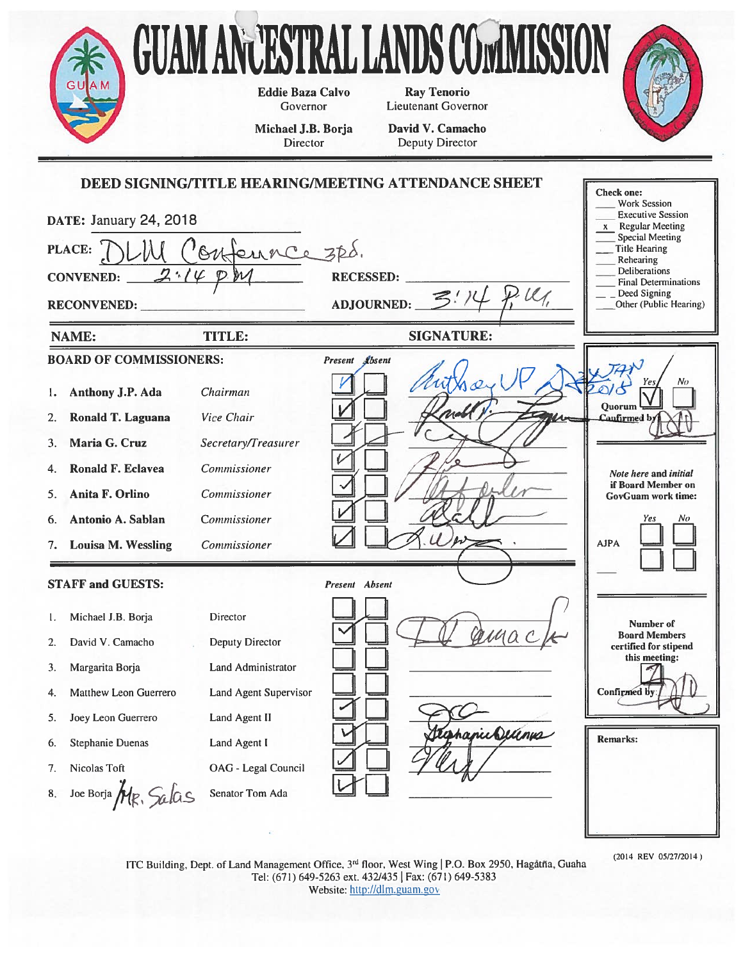

**Present** 

**Absent** 

#### TITLE: NAME: **BOARD OF COMMISSIONERS:**

|    | 1. Anthony J.P. Ada  | Chairman            |
|----|----------------------|---------------------|
| 2. | Ronald T. Laguana    | Vice Chair          |
|    | 3. Maria G. Cruz     | Secretary/Treasurer |
|    | 4. Ronald F. Eclavea | Commissioner        |
|    | 5. Anita F. Orlino   | Commissioner        |
|    | 6. Antonio A. Sablan | Commissioner        |

**Louisa M. Wessling** 

#### **STAFF and GUESTS:**

7.

Michael J.B. Borja 1. David V. Camacho 2. Margarita Borja 3.  $4.$ Matthew Leon Guerrero 5. Joey Leon Guerrero **Stephanie Duenas** 6. Nicolas Toft 7. Joe Borja Mg, Salas Senator Tom Ada  $8.$ 

| Director                     |
|------------------------------|
| Deputy Director              |
| <b>Land Administrator</b>    |
| <b>Land Agent Supervisor</b> |
| Land Agent II                |
| Land Agent I                 |
| OAG - Legal Council          |

Commissioner



**SIGNATURE:** 



Note here and initial if Board Member on

Quorum Canfirmed



Remarks:

(2014 REV 05/27/2014)

ITC Building, Dept. of Land Management Office, 3<sup>rd</sup> floor, West Wing | P.O. Box 2950, Hagatna, Guaha Tel: (671) 649-5263 ext. 432/435 | Fax: (671) 649-5383 Website: http://dlm.guam.gov